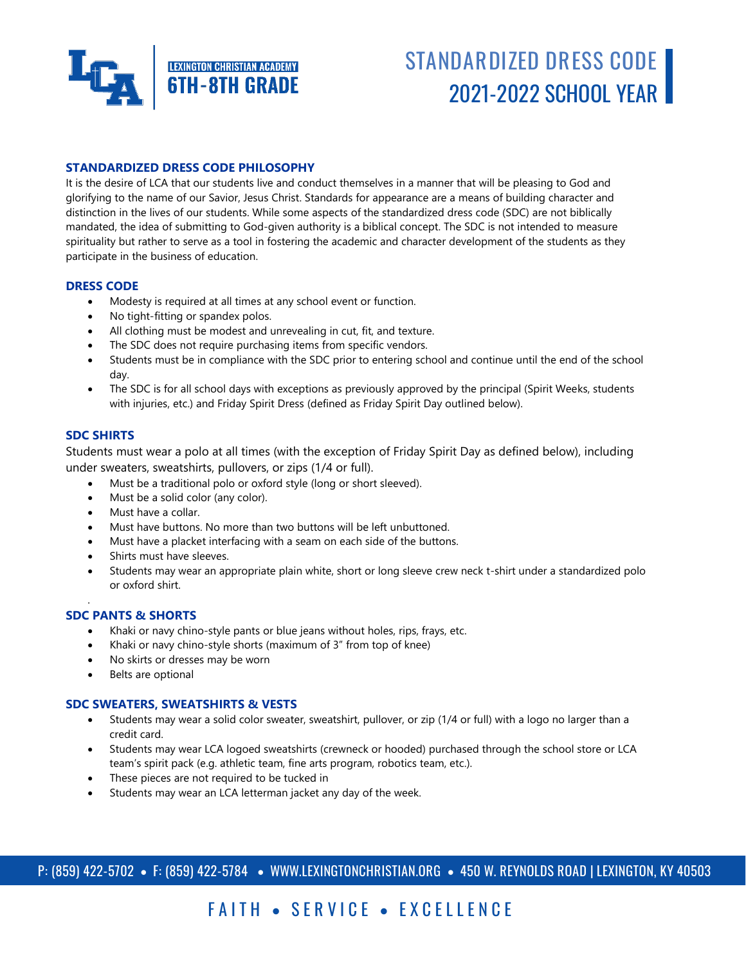

# **STANDARDIZED DRESS CODE** 2021-2022 SCHOOL YEAR

### **STANDARDIZED DRESS CODE PHILOSOPHY**

It is the desire of LCA that our students live and conduct themselves in a manner that will be pleasing to God and glorifying to the name of our Savior, Jesus Christ. Standards for appearance are a means of building character and distinction in the lives of our students. While some aspects of the standardized dress code (SDC) are not biblically mandated, the idea of submitting to God-given authority is a biblical concept. The SDC is not intended to measure spirituality but rather to serve as a tool in fostering the academic and character development of the students as they participate in the business of education.

#### **DRESS CODE**

- Modesty is required at all times at any school event or function.
- No tight-fitting or spandex polos.
- All clothing must be modest and unrevealing in cut, fit, and texture.
- The SDC does not require purchasing items from specific vendors.
- Students must be in compliance with the SDC prior to entering school and continue until the end of the school day.
- The SDC is for all school days with exceptions as previously approved by the principal (Spirit Weeks, students with injuries, etc.) and Friday Spirit Dress (defined as Friday Spirit Day outlined below).

#### **SDC SHIRTS**

.

Students must wear a polo at all times (with the exception of Friday Spirit Day as defined below), including under sweaters, sweatshirts, pullovers, or zips (1/4 or full).

- Must be a traditional polo or oxford style (long or short sleeved).
- Must be a solid color (any color).
- Must have a collar.
- Must have buttons. No more than two buttons will be left unbuttoned.
- Must have a placket interfacing with a seam on each side of the buttons.
- Shirts must have sleeves.
- Students may wear an appropriate plain white, short or long sleeve crew neck t-shirt under a standardized polo or oxford shirt.

#### **SDC PANTS & SHORTS**

- Khaki or navy chino-style pants or blue jeans without holes, rips, frays, etc.
- Khaki or navy chino-style shorts (maximum of 3" from top of knee)
- No skirts or dresses may be worn
- Belts are optional

#### **SDC SWEATERS, SWEATSHIRTS & VESTS**

- Students may wear a solid color sweater, sweatshirt, pullover, or zip (1/4 or full) with a logo no larger than a credit card.
- Students may wear LCA logoed sweatshirts (crewneck or hooded) purchased through the school store or LCA team's spirit pack (e.g. athletic team, fine arts program, robotics team, etc.).
- These pieces are not required to be tucked in
- Students may wear an LCA letterman jacket any day of the week.

## FAITH • SERVICE • EXCELLENCE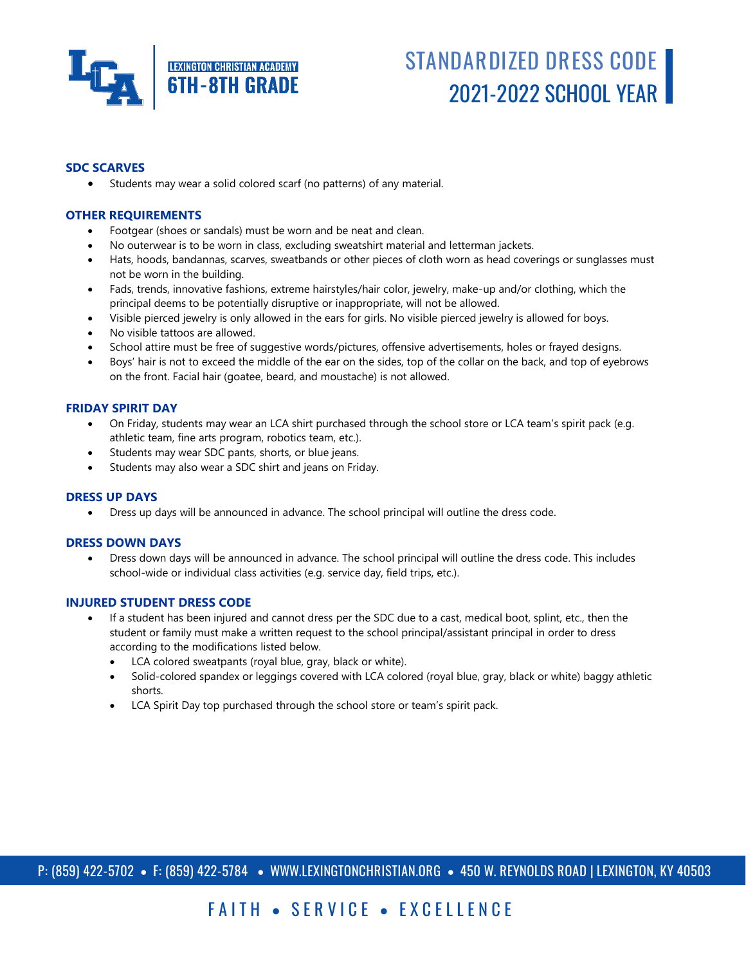

# **STANDARDIZED DRESS CODE** 2021-2022 SCHOOL YEAR

### **SDC SCARVES**

Students may wear a solid colored scarf (no patterns) of any material.

#### **OTHER REQUIREMENTS**

- Footgear (shoes or sandals) must be worn and be neat and clean.
- No outerwear is to be worn in class, excluding sweatshirt material and letterman jackets.
- Hats, hoods, bandannas, scarves, sweatbands or other pieces of cloth worn as head coverings or sunglasses must not be worn in the building.
- Fads, trends, innovative fashions, extreme hairstyles/hair color, jewelry, make-up and/or clothing, which the principal deems to be potentially disruptive or inappropriate, will not be allowed.
- Visible pierced jewelry is only allowed in the ears for girls. No visible pierced jewelry is allowed for boys.
- No visible tattoos are allowed.
- School attire must be free of suggestive words/pictures, offensive advertisements, holes or frayed designs.
- Boys' hair is not to exceed the middle of the ear on the sides, top of the collar on the back, and top of eyebrows on the front. Facial hair (goatee, beard, and moustache) is not allowed.

#### **FRIDAY SPIRIT DAY**

- On Friday, students may wear an LCA shirt purchased through the school store or LCA team's spirit pack (e.g. athletic team, fine arts program, robotics team, etc.).
- Students may wear SDC pants, shorts, or blue jeans.
- Students may also wear a SDC shirt and jeans on Friday.

#### **DRESS UP DAYS**

Dress up days will be announced in advance. The school principal will outline the dress code.

#### **DRESS DOWN DAYS**

 Dress down days will be announced in advance. The school principal will outline the dress code. This includes school-wide or individual class activities (e.g. service day, field trips, etc.).

#### **INJURED STUDENT DRESS CODE**

- If a student has been injured and cannot dress per the SDC due to a cast, medical boot, splint, etc., then the student or family must make a written request to the school principal/assistant principal in order to dress according to the modifications listed below.
	- LCA colored sweatpants (royal blue, gray, black or white).
	- Solid-colored spandex or leggings covered with LCA colored (royal blue, gray, black or white) baggy athletic shorts.
	- LCA Spirit Day top purchased through the school store or team's spirit pack.

P: (859) 422-5702 • F: (859) 422-5784 • WWW.LEXINGTONCHRISTIAN.ORG • 450 W. REYNOLDS ROAD | LEXINGTON, KY 40503

## FAITH • SERVICE • EXCELLENCE